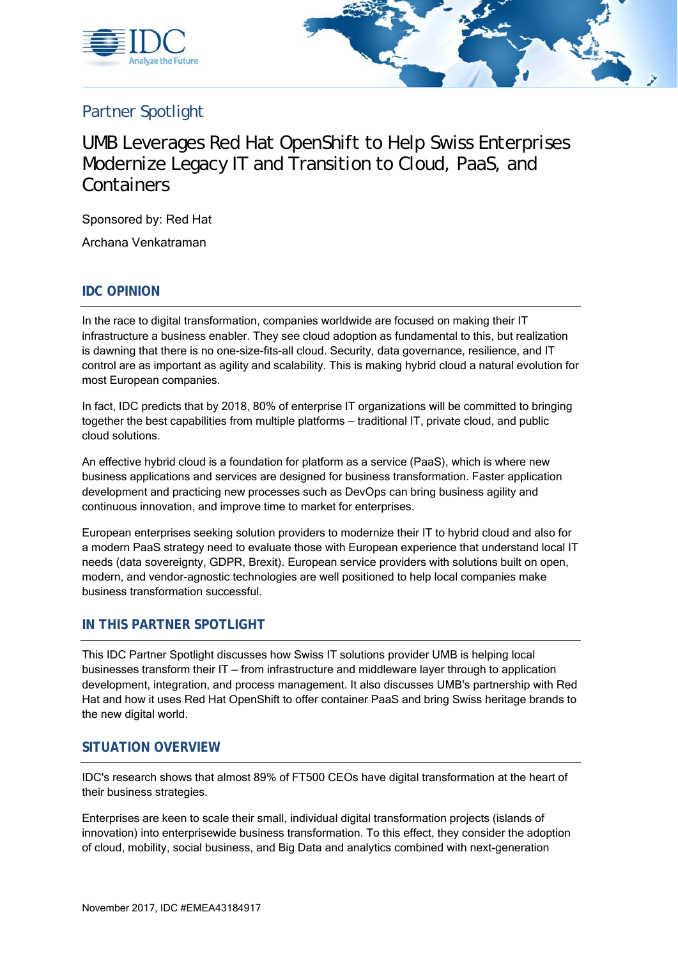



# Partner Spotlight

# UMB Leverages Red Hat OpenShift to Help Swiss Enterprises Modernize Legacy IT and Transition to Cloud, PaaS, and **Containers**

Sponsored by: Red Hat

Archana Venkatraman

### **IDC OPINION**

In the race to digital transformation, companies worldwide are focused on making their IT infrastructure a business enabler. They see cloud adoption as fundamental to this, but realization is dawning that there is no one-size-fits-all cloud. Security, data governance, resilience, and IT control are as important as agility and scalability. This is making hybrid cloud a natural evolution for most European companies.

In fact, IDC predicts that by 2018, 80% of enterprise IT organizations will be committed to bringing together the best capabilities from multiple platforms — traditional IT, private cloud, and public cloud solutions.

An effective hybrid cloud is a foundation for platform as a service (PaaS), which is where new business applications and services are designed for business transformation. Faster application development and practicing new processes such as DevOps can bring business agility and continuous innovation, and improve time to market for enterprises.

European enterprises seeking solution providers to modernize their IT to hybrid cloud and also for a modern PaaS strategy need to evaluate those with European experience that understand local IT needs (data sovereignty, GDPR, Brexit). European service providers with solutions built on open, modern, and vendor-agnostic technologies are well positioned to help local companies make business transformation successful.

### **IN THIS PARTNER SPOTLIGHT**

This IDC Partner Spotlight discusses how Swiss IT solutions provider UMB is helping local businesses transform their IT — from infrastructure and middleware layer through to application development, integration, and process management. It also discusses UMB's partnership with Red Hat and how it uses Red Hat OpenShift to offer container PaaS and bring Swiss heritage brands to the new digital world.

#### **SITUATION OVERVIEW**

IDC's research shows that almost 89% of FT500 CEOs have digital transformation at the heart of their business strategies.

Enterprises are keen to scale their small, individual digital transformation projects (islands of innovation) into enterprisewide business transformation. To this effect, they consider the adoption of cloud, mobility, social business, and Big Data and analytics combined with next-generation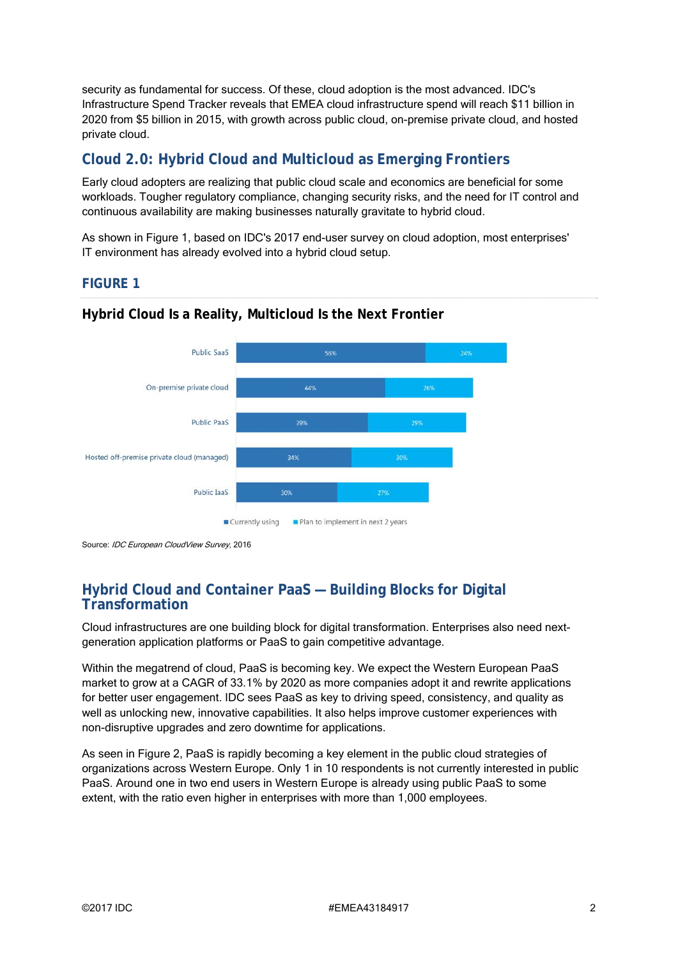security as fundamental for success. Of these, cloud adoption is the most advanced. IDC's Infrastructure Spend Tracker reveals that EMEA cloud infrastructure spend will reach \$11 billion in 2020 from \$5 billion in 2015, with growth across public cloud, on-premise private cloud, and hosted private cloud.

# **Cloud 2.0: Hybrid Cloud and Multicloud as Emerging Frontiers**

Early cloud adopters are realizing that public cloud scale and economics are beneficial for some workloads. Tougher regulatory compliance, changing security risks, and the need for IT control and continuous availability are making businesses naturally gravitate to hybrid cloud.

As shown in Figure 1, based on IDC's 2017 end-user survey on cloud adoption, most enterprises' IT environment has already evolved into a hybrid cloud setup.

### **FIGURE 1**



# **Hybrid Cloud Is a Reality, Multicloud Is the Next Frontier**

Source: IDC European CloudView Survey, 2016

# **Hybrid Cloud and Container PaaS — Building Blocks for Digital Transformation**

Cloud infrastructures are one building block for digital transformation. Enterprises also need nextgeneration application platforms or PaaS to gain competitive advantage.

Within the megatrend of cloud, PaaS is becoming key. We expect the Western European PaaS market to grow at a CAGR of 33.1% by 2020 as more companies adopt it and rewrite applications for better user engagement. IDC sees PaaS as key to driving speed, consistency, and quality as well as unlocking new, innovative capabilities. It also helps improve customer experiences with non-disruptive upgrades and zero downtime for applications.

As seen in Figure 2, PaaS is rapidly becoming a key element in the public cloud strategies of organizations across Western Europe. Only 1 in 10 respondents is not currently interested in public PaaS. Around one in two end users in Western Europe is already using public PaaS to some extent, with the ratio even higher in enterprises with more than 1,000 employees.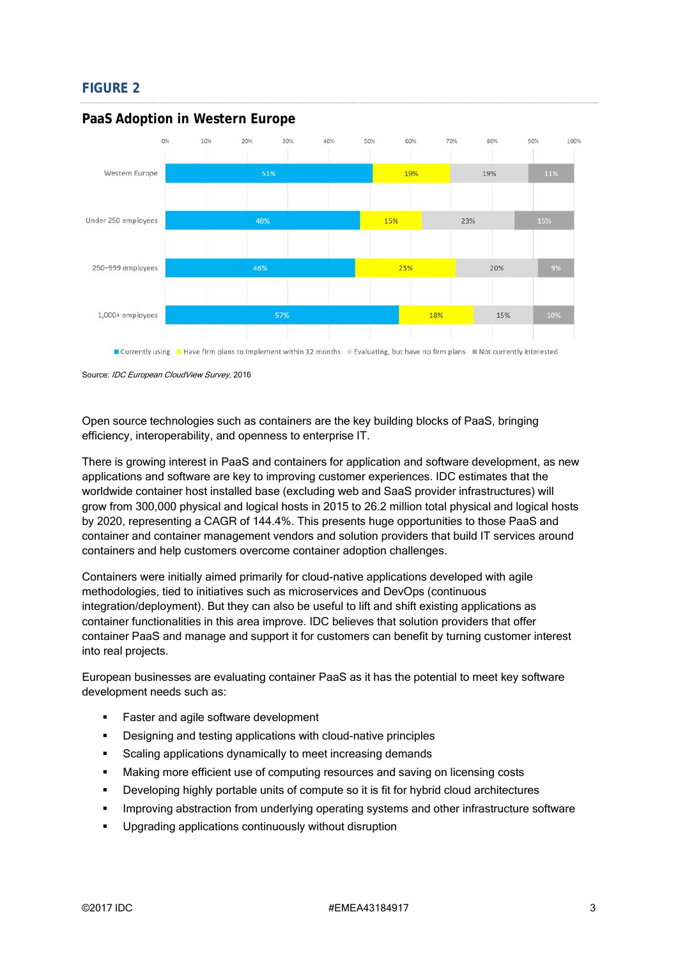# **FIGURE 2**



#### **PaaS Adoption in Western Europe**

Source: IDC European CloudView Survey, 2016

Open source technologies such as containers are the key building blocks of PaaS, bringing efficiency, interoperability, and openness to enterprise IT.

There is growing interest in PaaS and containers for application and software development, as new applications and software are key to improving customer experiences. IDC estimates that the worldwide container host installed base (excluding web and SaaS provider infrastructures) will grow from 300,000 physical and logical hosts in 2015 to 26.2 million total physical and logical hosts by 2020, representing a CAGR of 144.4%. This presents huge opportunities to those PaaS and container and container management vendors and solution providers that build IT services around containers and help customers overcome container adoption challenges.

Containers were initially aimed primarily for cloud-native applications developed with agile methodologies, tied to initiatives such as microservices and DevOps (continuous integration/deployment). But they can also be useful to lift and shift existing applications as container functionalities in this area improve. IDC believes that solution providers that offer container PaaS and manage and support it for customers can benefit by turning customer interest into real projects.

European businesses are evaluating container PaaS as it has the potential to meet key software development needs such as:

- **Faster and agile software development**
- **•** Designing and testing applications with cloud-native principles
- Scaling applications dynamically to meet increasing demands
- Making more efficient use of computing resources and saving on licensing costs
- **•** Developing highly portable units of compute so it is fit for hybrid cloud architectures
- **IMPROVING ADSTRACT IMM** improving abstraction from underlying operating systems and other infrastructure software
- **Upgrading applications continuously without disruption**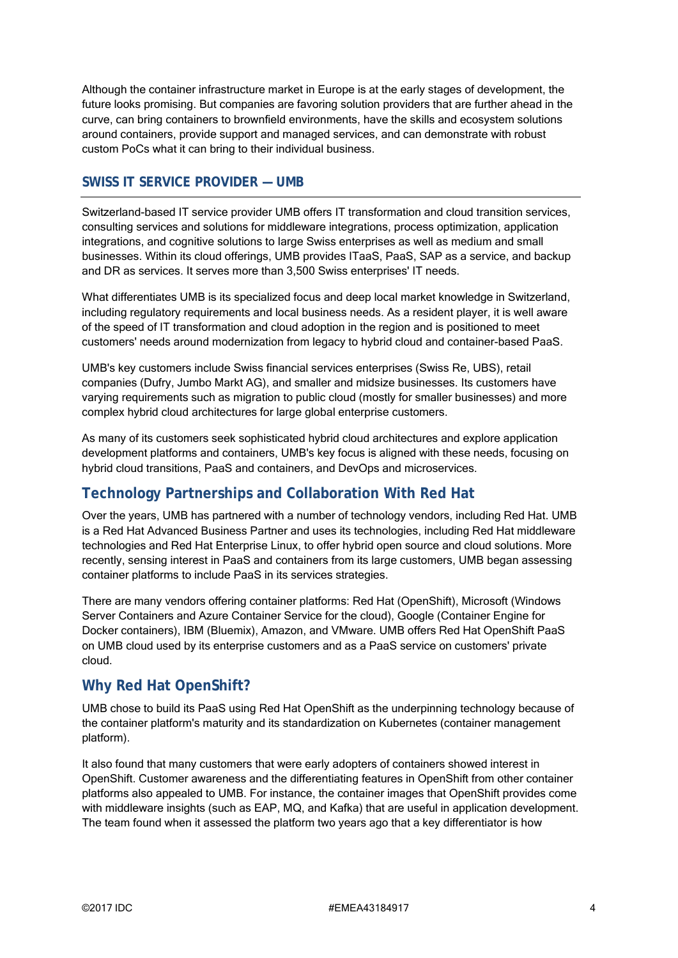Although the container infrastructure market in Europe is at the early stages of development, the future looks promising. But companies are favoring solution providers that are further ahead in the curve, can bring containers to brownfield environments, have the skills and ecosystem solutions around containers, provide support and managed services, and can demonstrate with robust custom PoCs what it can bring to their individual business.

### **SWISS IT SERVICE PROVIDER — UMB**

Switzerland-based IT service provider UMB offers IT transformation and cloud transition services, consulting services and solutions for middleware integrations, process optimization, application integrations, and cognitive solutions to large Swiss enterprises as well as medium and small businesses. Within its cloud offerings, UMB provides ITaaS, PaaS, SAP as a service, and backup and DR as services. It serves more than 3,500 Swiss enterprises' IT needs.

What differentiates UMB is its specialized focus and deep local market knowledge in Switzerland, including regulatory requirements and local business needs. As a resident player, it is well aware of the speed of IT transformation and cloud adoption in the region and is positioned to meet customers' needs around modernization from legacy to hybrid cloud and container-based PaaS.

UMB's key customers include Swiss financial services enterprises (Swiss Re, UBS), retail companies (Dufry, Jumbo Markt AG), and smaller and midsize businesses. Its customers have varying requirements such as migration to public cloud (mostly for smaller businesses) and more complex hybrid cloud architectures for large global enterprise customers.

As many of its customers seek sophisticated hybrid cloud architectures and explore application development platforms and containers, UMB's key focus is aligned with these needs, focusing on hybrid cloud transitions, PaaS and containers, and DevOps and microservices.

# **Technology Partnerships and Collaboration With Red Hat**

Over the years, UMB has partnered with a number of technology vendors, including Red Hat. UMB is a Red Hat Advanced Business Partner and uses its technologies, including Red Hat middleware technologies and Red Hat Enterprise Linux, to offer hybrid open source and cloud solutions. More recently, sensing interest in PaaS and containers from its large customers, UMB began assessing container platforms to include PaaS in its services strategies.

There are many vendors offering container platforms: Red Hat (OpenShift), Microsoft (Windows Server Containers and Azure Container Service for the cloud), Google (Container Engine for Docker containers), IBM (Bluemix), Amazon, and VMware. UMB offers Red Hat OpenShift PaaS on UMB cloud used by its enterprise customers and as a PaaS service on customers' private cloud.

# **Why Red Hat OpenShift?**

UMB chose to build its PaaS using Red Hat OpenShift as the underpinning technology because of the container platform's maturity and its standardization on Kubernetes (container management platform).

It also found that many customers that were early adopters of containers showed interest in OpenShift. Customer awareness and the differentiating features in OpenShift from other container platforms also appealed to UMB. For instance, the container images that OpenShift provides come with middleware insights (such as EAP, MQ, and Kafka) that are useful in application development. The team found when it assessed the platform two years ago that a key differentiator is how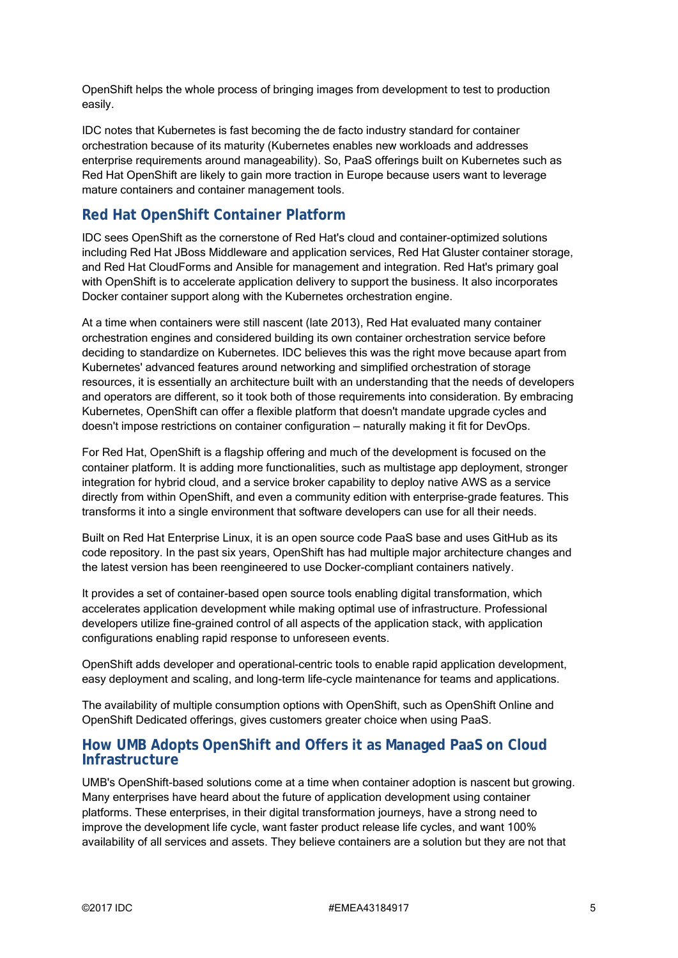OpenShift helps the whole process of bringing images from development to test to production easily.

IDC notes that Kubernetes is fast becoming the de facto industry standard for container orchestration because of its maturity (Kubernetes enables new workloads and addresses enterprise requirements around manageability). So, PaaS offerings built on Kubernetes such as Red Hat OpenShift are likely to gain more traction in Europe because users want to leverage mature containers and container management tools.

# **Red Hat OpenShift Container Platform**

IDC sees OpenShift as the cornerstone of Red Hat's cloud and container-optimized solutions including Red Hat JBoss Middleware and application services, Red Hat Gluster container storage, and Red Hat CloudForms and Ansible for management and integration. Red Hat's primary goal with OpenShift is to accelerate application delivery to support the business. It also incorporates Docker container support along with the Kubernetes orchestration engine.

At a time when containers were still nascent (late 2013), Red Hat evaluated many container orchestration engines and considered building its own container orchestration service before deciding to standardize on Kubernetes. IDC believes this was the right move because apart from Kubernetes' advanced features around networking and simplified orchestration of storage resources, it is essentially an architecture built with an understanding that the needs of developers and operators are different, so it took both of those requirements into consideration. By embracing Kubernetes, OpenShift can offer a flexible platform that doesn't mandate upgrade cycles and doesn't impose restrictions on container configuration — naturally making it fit for DevOps.

For Red Hat, OpenShift is a flagship offering and much of the development is focused on the container platform. It is adding more functionalities, such as multistage app deployment, stronger integration for hybrid cloud, and a service broker capability to deploy native AWS as a service directly from within OpenShift, and even a community edition with enterprise-grade features. This transforms it into a single environment that software developers can use for all their needs.

Built on Red Hat Enterprise Linux, it is an open source code PaaS base and uses GitHub as its code repository. In the past six years, OpenShift has had multiple major architecture changes and the latest version has been reengineered to use Docker-compliant containers natively.

It provides a set of container-based open source tools enabling digital transformation, which accelerates application development while making optimal use of infrastructure. Professional developers utilize fine-grained control of all aspects of the application stack, with application configurations enabling rapid response to unforeseen events.

OpenShift adds developer and operational-centric tools to enable rapid application development, easy deployment and scaling, and long-term life-cycle maintenance for teams and applications.

The availability of multiple consumption options with OpenShift, such as OpenShift Online and OpenShift Dedicated offerings, gives customers greater choice when using PaaS.

### **How UMB Adopts OpenShift and Offers it as Managed PaaS on Cloud Infrastructure**

UMB's OpenShift-based solutions come at a time when container adoption is nascent but growing. Many enterprises have heard about the future of application development using container platforms. These enterprises, in their digital transformation journeys, have a strong need to improve the development life cycle, want faster product release life cycles, and want 100% availability of all services and assets. They believe containers are a solution but they are not that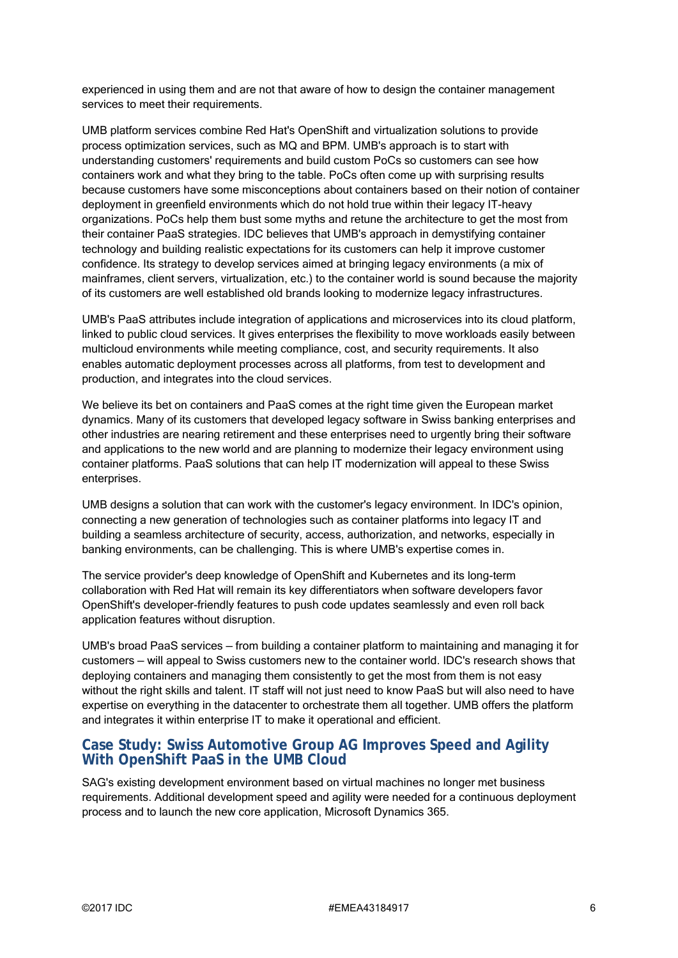experienced in using them and are not that aware of how to design the container management services to meet their requirements.

UMB platform services combine Red Hat's OpenShift and virtualization solutions to provide process optimization services, such as MQ and BPM. UMB's approach is to start with understanding customers' requirements and build custom PoCs so customers can see how containers work and what they bring to the table. PoCs often come up with surprising results because customers have some misconceptions about containers based on their notion of container deployment in greenfield environments which do not hold true within their legacy IT-heavy organizations. PoCs help them bust some myths and retune the architecture to get the most from their container PaaS strategies. IDC believes that UMB's approach in demystifying container technology and building realistic expectations for its customers can help it improve customer confidence. Its strategy to develop services aimed at bringing legacy environments (a mix of mainframes, client servers, virtualization, etc.) to the container world is sound because the majority of its customers are well established old brands looking to modernize legacy infrastructures.

UMB's PaaS attributes include integration of applications and microservices into its cloud platform, linked to public cloud services. It gives enterprises the flexibility to move workloads easily between multicloud environments while meeting compliance, cost, and security requirements. It also enables automatic deployment processes across all platforms, from test to development and production, and integrates into the cloud services.

We believe its bet on containers and PaaS comes at the right time given the European market dynamics. Many of its customers that developed legacy software in Swiss banking enterprises and other industries are nearing retirement and these enterprises need to urgently bring their software and applications to the new world and are planning to modernize their legacy environment using container platforms. PaaS solutions that can help IT modernization will appeal to these Swiss enterprises.

UMB designs a solution that can work with the customer's legacy environment. In IDC's opinion, connecting a new generation of technologies such as container platforms into legacy IT and building a seamless architecture of security, access, authorization, and networks, especially in banking environments, can be challenging. This is where UMB's expertise comes in.

The service provider's deep knowledge of OpenShift and Kubernetes and its long-term collaboration with Red Hat will remain its key differentiators when software developers favor OpenShift's developer-friendly features to push code updates seamlessly and even roll back application features without disruption.

UMB's broad PaaS services — from building a container platform to maintaining and managing it for customers — will appeal to Swiss customers new to the container world. IDC's research shows that deploying containers and managing them consistently to get the most from them is not easy without the right skills and talent. IT staff will not just need to know PaaS but will also need to have expertise on everything in the datacenter to orchestrate them all together. UMB offers the platform and integrates it within enterprise IT to make it operational and efficient.

### **Case Study: Swiss Automotive Group AG Improves Speed and Agility With OpenShift PaaS in the UMB Cloud**

SAG's existing development environment based on virtual machines no longer met business requirements. Additional development speed and agility were needed for a continuous deployment process and to launch the new core application, Microsoft Dynamics 365.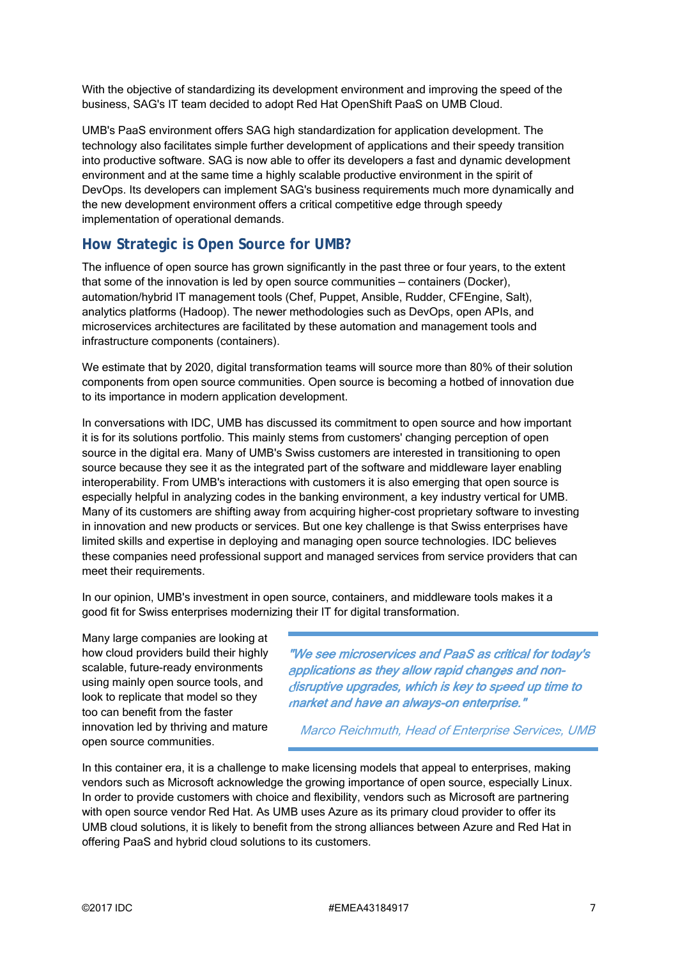With the objective of standardizing its development environment and improving the speed of the business, SAG's IT team decided to adopt Red Hat OpenShift PaaS on UMB Cloud.

UMB's PaaS environment offers SAG high standardization for application development. The technology also facilitates simple further development of applications and their speedy transition into productive software. SAG is now able to offer its developers a fast and dynamic development environment and at the same time a highly scalable productive environment in the spirit of DevOps. Its developers can implement SAG's business requirements much more dynamically and the new development environment offers a critical competitive edge through speedy implementation of operational demands.

# **How Strategic is Open Source for UMB?**

The influence of open source has grown significantly in the past three or four years, to the extent that some of the innovation is led by open source communities — containers (Docker), automation/hybrid IT management tools (Chef, Puppet, Ansible, Rudder, CFEngine, Salt), analytics platforms (Hadoop). The newer methodologies such as DevOps, open APIs, and microservices architectures are facilitated by these automation and management tools and infrastructure components (containers).

We estimate that by 2020, digital transformation teams will source more than 80% of their solution components from open source communities. Open source is becoming a hotbed of innovation due to its importance in modern application development.

In conversations with IDC, UMB has discussed its commitment to open source and how important it is for its solutions portfolio. This mainly stems from customers' changing perception of open source in the digital era. Many of UMB's Swiss customers are interested in transitioning to open source because they see it as the integrated part of the software and middleware layer enabling interoperability. From UMB's interactions with customers it is also emerging that open source is especially helpful in analyzing codes in the banking environment, a key industry vertical for UMB. Many of its customers are shifting away from acquiring higher-cost proprietary software to investing in innovation and new products or services. But one key challenge is that Swiss enterprises have limited skills and expertise in deploying and managing open source technologies. IDC believes these companies need professional support and managed services from service providers that can meet their requirements.

In our opinion, UMB's investment in open source, containers, and middleware tools makes it a good fit for Swiss enterprises modernizing their IT for digital transformation.

Many large companies are looking at how cloud providers build their highly scalable, future-ready environments using mainly open source tools, and look to replicate that model so they too can benefit from the faster innovation led by thriving and mature open source communities.

"We see microservices and PaaS as critical for today's applications as they allow rapid changes and non disruptive upgrades, which is key to speed up time to market and have an always-on enterprise."

Marco Reichmuth, Head of Enterprise Services, UMB

In this container era, it is a challenge to make licensing models that appeal to enterprises, making vendors such as Microsoft acknowledge the growing importance of open source, especially Linux. In order to provide customers with choice and flexibility, vendors such as Microsoft are partnering with open source vendor Red Hat. As UMB uses Azure as its primary cloud provider to offer its UMB cloud solutions, it is likely to benefit from the strong alliances between Azure and Red Hat in offering PaaS and hybrid cloud solutions to its customers.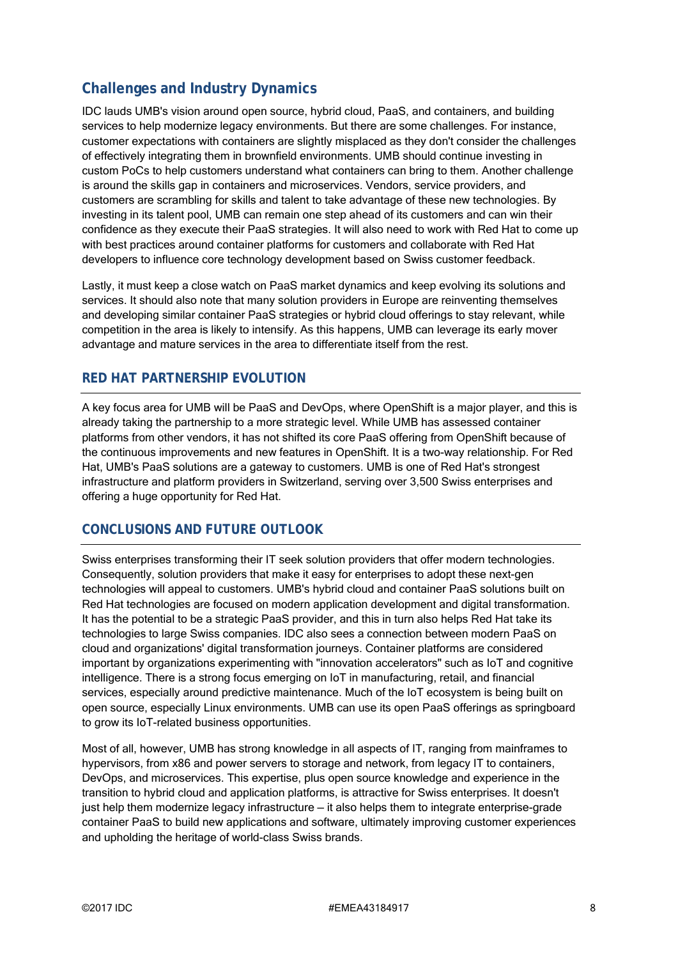# **Challenges and Industry Dynamics**

IDC lauds UMB's vision around open source, hybrid cloud, PaaS, and containers, and building services to help modernize legacy environments. But there are some challenges. For instance, customer expectations with containers are slightly misplaced as they don't consider the challenges of effectively integrating them in brownfield environments. UMB should continue investing in custom PoCs to help customers understand what containers can bring to them. Another challenge is around the skills gap in containers and microservices. Vendors, service providers, and customers are scrambling for skills and talent to take advantage of these new technologies. By investing in its talent pool, UMB can remain one step ahead of its customers and can win their confidence as they execute their PaaS strategies. It will also need to work with Red Hat to come up with best practices around container platforms for customers and collaborate with Red Hat developers to influence core technology development based on Swiss customer feedback.

Lastly, it must keep a close watch on PaaS market dynamics and keep evolving its solutions and services. It should also note that many solution providers in Europe are reinventing themselves and developing similar container PaaS strategies or hybrid cloud offerings to stay relevant, while competition in the area is likely to intensify. As this happens, UMB can leverage its early mover advantage and mature services in the area to differentiate itself from the rest.

### **RED HAT PARTNERSHIP EVOLUTION**

A key focus area for UMB will be PaaS and DevOps, where OpenShift is a major player, and this is already taking the partnership to a more strategic level. While UMB has assessed container platforms from other vendors, it has not shifted its core PaaS offering from OpenShift because of the continuous improvements and new features in OpenShift. It is a two-way relationship. For Red Hat, UMB's PaaS solutions are a gateway to customers. UMB is one of Red Hat's strongest infrastructure and platform providers in Switzerland, serving over 3,500 Swiss enterprises and offering a huge opportunity for Red Hat.

### **CONCLUSIONS AND FUTURE OUTLOOK**

Swiss enterprises transforming their IT seek solution providers that offer modern technologies. Consequently, solution providers that make it easy for enterprises to adopt these next-gen technologies will appeal to customers. UMB's hybrid cloud and container PaaS solutions built on Red Hat technologies are focused on modern application development and digital transformation. It has the potential to be a strategic PaaS provider, and this in turn also helps Red Hat take its technologies to large Swiss companies. IDC also sees a connection between modern PaaS on cloud and organizations' digital transformation journeys. Container platforms are considered important by organizations experimenting with "innovation accelerators" such as IoT and cognitive intelligence. There is a strong focus emerging on IoT in manufacturing, retail, and financial services, especially around predictive maintenance. Much of the IoT ecosystem is being built on open source, especially Linux environments. UMB can use its open PaaS offerings as springboard to grow its IoT-related business opportunities.

Most of all, however, UMB has strong knowledge in all aspects of IT, ranging from mainframes to hypervisors, from x86 and power servers to storage and network, from legacy IT to containers, DevOps, and microservices. This expertise, plus open source knowledge and experience in the transition to hybrid cloud and application platforms, is attractive for Swiss enterprises. It doesn't just help them modernize legacy infrastructure — it also helps them to integrate enterprise-grade container PaaS to build new applications and software, ultimately improving customer experiences and upholding the heritage of world-class Swiss brands.